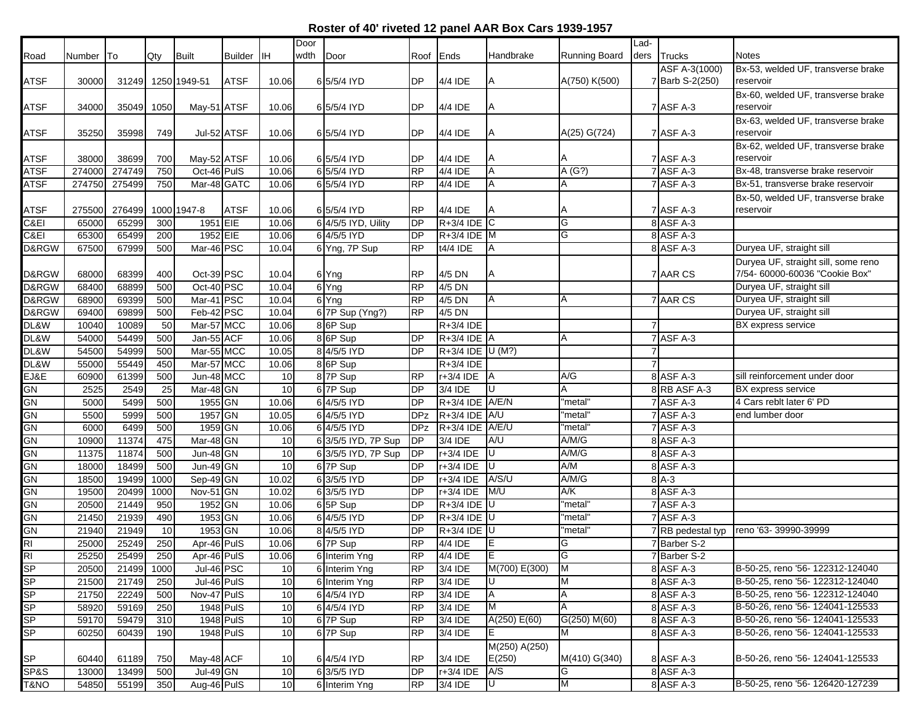## **Roster of 40' riveted 12 panel AAR Box Cars 1939-1957**

|               |        |        |      |                         |                |       | Door |                     |            |                              |               |                      | Lad-           |                   |                                     |
|---------------|--------|--------|------|-------------------------|----------------|-------|------|---------------------|------------|------------------------------|---------------|----------------------|----------------|-------------------|-------------------------------------|
| Road          | Number | ITo    | Qty  | Built                   | <b>Builder</b> | IІH   | wdth | Door                | Roof       | Ends                         | Handbrake     | <b>Running Board</b> |                | ders Trucks       | Notes                               |
|               |        |        |      |                         |                |       |      |                     |            |                              |               |                      |                | ASF A-3(1000)     | Bx-53, welded UF, transverse brake  |
| <b>ATSF</b>   | 30000  |        |      | 31249 1250 1949-51      | <b>ATSF</b>    | 10.06 |      | 6 5/5/4 IYD         | DP         | 4/4 IDE                      |               | A(750) K(500)        |                | 7 Barb S-2(250)   | reservoir                           |
|               |        |        |      |                         |                |       |      |                     |            |                              |               |                      |                |                   | Bx-60, welded UF, transverse brake  |
| <b>ATSF</b>   | 34000  | 35049  | 1050 | May-51 ATSF             |                | 10.06 |      | 6 5/5/4 IYD         | <b>DP</b>  | 4/4 IDE                      | A             |                      |                | 7 ASF A-3         | reservoir                           |
|               |        |        |      |                         |                |       |      |                     |            |                              |               |                      |                |                   | Bx-63, welded UF, transverse brake  |
| <b>ATSF</b>   | 35250  | 35998  | 749  | Jul-52 ATSF             |                | 10.06 |      | 6 5/5/4 IYD         | DP         | 4/4 IDE                      |               | A(25) G(724)         |                | 7 ASF A-3         | reservoir                           |
|               |        |        |      |                         |                |       |      |                     |            |                              |               |                      |                |                   | Bx-62, welded UF, transverse brake  |
| <b>ATSF</b>   | 38000  | 38699  | 700  | May-52 ATSF             |                | 10.06 |      | 6 5/5/4 IYD         | <b>DP</b>  | 4/4 IDE                      |               |                      |                | <b>7 ASF A-3</b>  | reservoir                           |
| <b>ATSF</b>   | 274000 | 274749 | 750  | Oct-46 PulS             |                | 10.06 |      | 6 5/5/4 IYD         | <b>RP</b>  | 4/4 IDE                      |               | A(G?)                |                | 7 ASF A-3         | Bx-48, transverse brake reservoir   |
| <b>ATSF</b>   | 274750 | 275499 | 750  | Mar-48 GATC             |                | 10.06 |      | 6 5/5/4 IYD         | <b>RP</b>  | 4/4 IDE                      | A             | Α                    |                | 7 ASF A-3         | Bx-51, transverse brake reservoir   |
|               |        |        |      |                         |                |       |      |                     |            |                              |               |                      |                |                   | Bx-50, welded UF, transverse brake  |
| <b>ATSF</b>   | 275500 | 276499 |      | 1000 1947-8             | <b>ATSF</b>    | 10.06 |      | 6 5/5/4 IYD         | <b>RP</b>  | 4/4 IDE                      |               |                      |                | 7 ASF A-3         | reservoir                           |
| C&EI          | 65000  | 65299  | 300  | 1951 EIE                |                | 10.06 |      | 6 4/5/5 IYD, Uility | <b>DP</b>  | $R+3/4$ IDE C                |               | G                    |                | 8 ASF A-3         |                                     |
| C&EI          | 65300  | 65499  | 200  | 1952 EIE                |                | 10.06 |      | 6 4/5/5 IYD         | DP         | $R+3/4$ IDE M                |               | G                    |                | 8 ASF A-3         |                                     |
| D&RGW         | 67500  | 67999  | 500  | Mar-46 PSC              |                | 10.04 |      | 6 Yng, 7P Sup       | <b>RP</b>  | t4/4 IDE                     |               |                      |                | 8 ASF A-3         | Duryea UF, straight sill            |
|               |        |        |      |                         |                |       |      |                     |            |                              |               |                      |                |                   | Duryea UF, straight sill, some reno |
| D&RGW         | 68000  | 68399  | 400  | Oct-39 PSC              |                | 10.04 |      | 6 Yng               | <b>RP</b>  | 4/5 DN                       |               |                      |                | 7 AAR CS          | 7/54- 60000-60036 "Cookie Box"      |
| D&RGW         | 68400  | 68899  | 500  | Oct-40 PSC              |                | 10.04 |      | 6 Yng               | <b>RP</b>  | 4/5 DN                       |               |                      |                |                   | Duryea UF, straight sill            |
| D&RGW         | 68900  | 69399  | 500  | Mar-41 PSC              |                | 10.04 |      | 6 Yng               | <b>RP</b>  | 4/5 DN                       | A             | Α                    |                | 7 AAR CS          | Duryea UF, straight sill            |
| D&RGW         | 69400  | 69899  | 500  | Feb-42 PSC              |                | 10.04 |      | 6 7P Sup (Yng?)     | <b>RP</b>  | 4/5 DN                       |               |                      |                |                   | Duryea UF, straight sill            |
| DL&W          | 10040  | 10089  | 50   | Mar-57 MCC              |                | 10.06 |      | 8 6P Sup            |            | R+3/4 IDE                    |               |                      |                |                   | BX express service                  |
| DL&W          | 54000  | 54499  | 500  | Jan-55 ACF              |                | 10.06 |      | 8 6P Sup            | <b>DP</b>  | $R+3/4$ IDE A                |               | A                    |                | 7 ASF A-3         |                                     |
| DL&W          | 54500  | 54999  | 500  | Mar-55 MCC              |                | 10.05 |      | 8 4/5/5 IYD         | <b>DP</b>  | R+3/4 IDE U (M?)             |               |                      |                |                   |                                     |
| DL&W          | 55000  | 55449  | 450  | Mar-57 MCC              |                | 10.06 |      | 8 6P Sup            |            | R+3/4 IDE                    |               |                      | $\overline{7}$ |                   |                                     |
| EJ&E          | 60900  | 61399  | 500  | Jun-48 MCC              |                | 10    |      | 8 7P Sup            | <b>RP</b>  | r+3/4 IDE A                  |               | A/G                  |                | 8 ASF A-3         | sill reinforcement under door       |
| <b>GN</b>     | 2525   | 2549   | 25   | Mar-48 GN               |                | 10    |      | 6 7P Sup            | <b>DP</b>  | $3/4$ IDE                    | ΙU            | A                    |                | 8 RB ASF A-3      | <b>BX</b> express service           |
| <b>GN</b>     | 5000   | 5499   | 500  | 1955 GN                 |                | 10.06 |      | 6 4/5/5 IYD         | <b>DP</b>  | R+3/4 IDE A/E/N              |               | 'metal'              |                | 7 ASF A-3         | 4 Cars reblt later 6' PD            |
| GN            | 5500   | 5999   | 500  | 1957 GN                 |                | 10.05 |      | 6 4/5/5 IYD         | <b>DPz</b> | R+3/4 IDE A/U                |               | 'metal'              |                | 7 ASF A-3         | end lumber door                     |
| GN            | 6000   | 6499   | 500  | 1959 GN                 |                | 10.06 |      | 6 4/5/5 IYD         | <b>DPz</b> | R+3/4 IDE A/E/U              |               | 'metal"              |                | 7 ASF A-3         |                                     |
| <b>GN</b>     | 10900  | 11374  | 475  | Mar-48 GN               |                | 10    |      | 6 3/5/5 IYD, 7P Sup | <b>DP</b>  | 3/4 IDE                      | A/U           | A/M/G                |                | 8 ASF A-3         |                                     |
| GN            | 11375  | 11874  | 500  | Jun-48 GN               |                | 10    |      | 6 3/5/5 IYD, 7P Sup | <b>DP</b>  | r+3/4 IDE                    | ΙU            | A/M/G                |                | 8 ASF A-3         |                                     |
| GN            | 18000  | 18499  | 500  | Jun-49 GN               |                | 10    |      | 6 7P Sup            | <b>DP</b>  | r+3/4 IDE                    | Iυ            | A/M                  |                | 8 ASF A-3         |                                     |
| <b>GN</b>     | 18500  | 19499  | 1000 | Sep-49 GN               |                | 10.02 |      | 6 3/5/5 IYD         | <b>DP</b>  | r+3/4 IDE                    | A/S/U         | A/M/G                |                | $8A-3$            |                                     |
| GN            | 19500  | 20499  | 1000 | Nov-51 <sup>CN</sup>    |                | 10.02 |      | 6 3/5/5 IYD         | DP         | r+3/4 IDE                    | M/U           | A/K                  |                | 8 ASF A-3         |                                     |
| <b>GN</b>     | 20500  | 21449  | 950  | 1952 GN                 |                | 10.06 |      | 6 5P Sup            | DP         | R+3/4 IDE U                  |               | 'metal"              |                | 7 ASF A-3         |                                     |
| <b>GN</b>     | 21450  | 21939  | 490  | 1953 GN                 |                | 10.06 |      | 6 4/5/5 IYD         | <b>DP</b>  | $R+3/4$ IDE U                |               | 'metal"              |                | 7 ASF A-3         |                                     |
| $\frac{1}{2}$ | 21940  | 21949  | 10   | 1953 GN                 |                | 10.06 |      | 8 4/5/5 IYD         | DP         | R+3/4 IDE U                  |               | 'metal'              |                | 7 RB pedestal typ | reno '63-39990-39999                |
|               | 25000  | 25249  | 250  | Apr-46 PulS             |                | 10.06 |      | 6 7P Sup            | <b>RP</b>  | 4/4 IDE                      | ΙE            | G                    |                | 7 Barber S-2      |                                     |
|               | 25250  | 25499  | 250  | Apr-46 PulS             |                | 10.06 |      | 6 Interim Yng       | RP         | 4/4 IDE                      | ΤΕ            | G                    |                | 7 Barber S-2      |                                     |
|               | 20500  | 21499  | 1000 | Jul-46 PSC              |                | 10    |      | 6 Interim Yng       | <b>RP</b>  | 3/4 IDE                      | M(700) E(300) | $\overline{M}$       |                | 8 ASF A-3         | B-50-25, reno '56- 122312-124040    |
|               | 21500  | 21749  | 250  | Jul-46 PulS             |                | 10    |      | 6 Interim Yng       | <b>RP</b>  | 3/4 IDE                      | ΙU            | M                    |                | 8 ASF A-3         | B-50-25, reno '56- 122312-124040    |
| <b>SP</b>     | 21750  | 22249  | 500  | Nov-47 PulS             |                | 10    |      | 6 4/5/4 IYD         | <b>RP</b>  | 3/4 IDE                      | A             | A                    |                | 8 ASF A-3         | B-50-25, reno '56- 122312-124040    |
| SP<br>SP      | 58920  | 59169  | 250  | <b>1948 PulS</b>        |                | 10    |      | 6 4/5/4 IYD         | <b>RP</b>  | 3/4 IDE                      | M             | Α                    |                | 8 ASF A-3         | B-50-26, reno '56- 124041-125533    |
|               | 59170  | 59479  | 310  | 1948 PulS               |                | 10    |      | 6 7P Sup            | <b>RP</b>  | 3/4 IDE                      | A(250) E(60)  | G(250) M(60)         |                | 8 ASF A-3         | B-50-26, reno '56- 124041-125533    |
| <b>SP</b>     | 60250  | 60439  | 190  | $\overline{19}$ 48 PulS |                | 10    |      | 6 7P Sup            | RP         | 3/4 IDE                      | IΕ            | M                    |                | 8 ASF A-3         | B-50-26, reno '56- 124041-125533    |
|               |        |        |      |                         |                |       |      |                     |            |                              | M(250) A(250) |                      |                |                   |                                     |
| <b>SP</b>     | 60440  | 61189  | 750  | May-48 ACF              |                | 10    |      | 6 4/5/4 IYD         | <b>RP</b>  | 3/4 IDE                      | E(250)        | M(410) G(340)        |                | 8 ASF A-3         | B-50-26, reno '56- 124041-125533    |
| SP&S          | 13000  | 13499  | 500  | Jul-49 GN               |                | $10$  |      | 6 3/5/5 IYD         | <b>DP</b>  | $r+3/4$ IDE $\overline{A/S}$ |               | IG.                  |                | 8 ASF A-3         |                                     |
| T&NO          | 54850  | 55199  | 350  | Aug-46 PulS             |                | 10    |      | 6 Interim Yng       | <b>RP</b>  | 3/4 IDE                      | Iυ            | M                    |                | 8 ASF A-3         | B-50-25, reno '56- 126420-127239    |